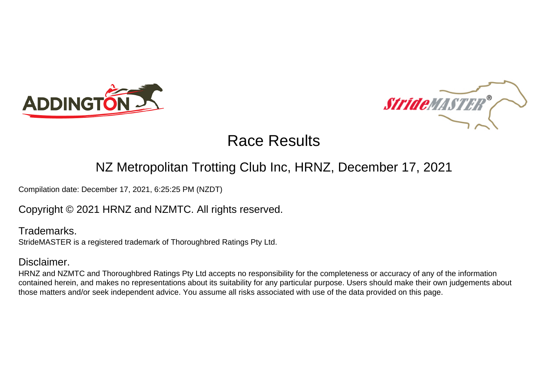



### NZ Metropolitan Trotting Club Inc, HRNZ, December 17, 2021

Compilation date: December 17, 2021, 6:25:25 PM (NZDT)

Copyright © 2021 HRNZ and NZMTC. All rights reserved.

Trademarks. StrideMASTER is a registered trademark of Thoroughbred Ratings Pty Ltd.

### Disclaimer.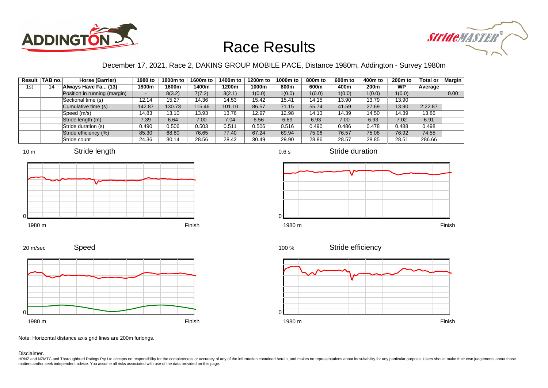



### December 17, 2021, Race 2, DAKINS GROUP MOBILE PACE, Distance 1980m, Addington - Survey 1980m

|     | Result TAB no. | Horse (Barrier)              | 1980 to                  | 1800m to | 1600m to | 1400m to | 1200m to | 1000m to | 800m to | 600 <sub>m</sub> to | 400m to | 200 <sub>m</sub> to | <b>Total or</b> | <b>Margin</b> |
|-----|----------------|------------------------------|--------------------------|----------|----------|----------|----------|----------|---------|---------------------|---------|---------------------|-----------------|---------------|
| 1st | 14             | Always Have Fa (13)          | 1800m                    | 1600m    | 1400m    | 1200m    | 1000m    | 800m     | 600m    | 400m                | 200m    | <b>WP</b>           | Average         |               |
|     |                | Position in running (margin) | $\overline{\phantom{0}}$ | 8(3.2)   | 7(7.2)   | 3(2.1)   | 1(0.0)   | 1(0.0)   | 1(0.0)  | 1(0.0)              | 1(0.0)  | 1(0.0)              |                 | 0.00          |
|     |                | Sectional time (s)           | 12.14                    | 15.27    | 14.36    | 14.53    | 15.42    | 15.41    | 14.15   | 13.90               | 13.79   | 13.90               |                 |               |
|     |                | Cumulative time (s)          | 142.87                   | 130.73   | 115.46   | 101.10   | 86.57    | 71.15    | 55.74   | 41.59               | 27.69   | 13.90               | 2:22.87         |               |
|     |                | Speed (m/s)                  | 14.83                    | 13.10    | 13.93    | 13.76    | 12.97    | 12.98    | 14.13   | 14.39               | 14.50   | 14.39               | 13.86           |               |
|     |                | Stride length (m)            | 7.39                     | 6.64     | 7.00     | 7.04     | 6.56     | 6.69     | 6.93    | 7.00                | 6.93    | 7.02                | 6.91            |               |
|     |                | Stride duration (s)          | 0.490                    | 0.506    | 0.503    | 0.511    | 0.506    | 0.516    | 0.490   | 0.486               | 0.478   | 0.488               | 0.498           |               |
|     |                | Stride efficiency (%)        | 85.30                    | 68.80    | 76.65    | 77.40    | 67.24    | 69.94    | 75.06   | 76.57               | 75.08   | 76.92               | 74.55           |               |
|     |                | Stride count                 | 24.36                    | 30.14    | 28.56    | 28.42    | 30.49    | 29.90    | 28.86   | 28.57               | 28.85   | 28.51               | 286.66          |               |













Speed 20 m/sec



Note: Horizontal distance axis grid lines are 200m furlongs.

#### Disclaimer.

HRNZ and NZMTC and Thoroughbred Ratings Pty Ltd accepts no responsibility for the completeness or accuracy of any of the information contained herein, and makes no representations about its suitability for any particular p matters and/or seek independent advice. You assume all risks associated with use of the data provided on this page.

0.6 s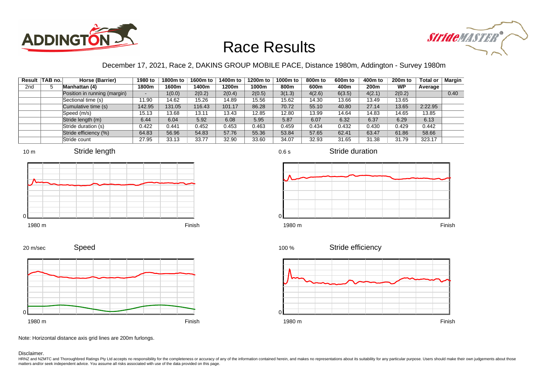



### December 17, 2021, Race 2, DAKINS GROUP MOBILE PACE, Distance 1980m, Addington - Survey 1980m

| Result          | TAB no. | Horse (Barrier)              | 1980 to | 1800m to | 1600m to | 1400m to | 1200m to | 1000m to | 800 <sub>m</sub> to | 600 <sub>m</sub> to | 400m to | 200 <sub>m</sub> to | <b>Total or</b> | Margin |
|-----------------|---------|------------------------------|---------|----------|----------|----------|----------|----------|---------------------|---------------------|---------|---------------------|-----------------|--------|
| 2 <sub>nd</sub> | 5       | Manhattan (4)                | 1800m   | 1600m    | 1400m    | 1200m    | 1000m    | 800m     | 600m                | 400m                | 200m    | <b>WP</b>           | Average         |        |
|                 |         | Position in running (margin) |         | 1(0.0)   | 2(0.2)   | 2(0.4)   | 2(0.5)   | 3(1.3)   | 4(2.6)              | 6(3.5)              | 4(2.1)  | 2(0.2)              |                 | 0.40   |
|                 |         | Sectional time (s)           | 11.90   | 14.62    | 15.26    | 14.89    | 15.56    | 15.62    | 14.30               | 13.66               | 13.49   | 13.65               |                 |        |
|                 |         | Cumulative time (s)          | 142.95  | 131.05   | 116.43   | 101.17   | 86.28    | 70.72    | 55.10               | 40.80               | 27.14   | 13.65               | 2:22.95         |        |
|                 |         | Speed (m/s)                  | 15.13   | 13.68    | 13.11    | 13.43    | 12.85    | 12.80    | 13.99               | 14.64               | 14.83   | 14.65               | 13.85           |        |
|                 |         | Stride length (m)            | 6.44    | 6.04     | 5.92     | 6.08     | 5.95     | 5.87     | 6.07                | 6.32                | 6.37    | 6.29                | 6.13            |        |
|                 |         | Stride duration (s)          | 0.422   | 0.441    | 0.452    | 0.453    | 0.463    | 0.459    | 0.434               | 0.432               | 0.430   | 0.429               | 0.442           |        |
|                 |         | Stride efficiency (%)        | 64.83   | 56.96    | 54.83    | 57.76    | 55.36    | 53.84    | 57.65               | 62.41               | 63.47   | 61.86               | 58.66           |        |
|                 |         | Stride count                 | 27.95   | 33.13    | 33.77    | 32.90    | 33.60    | 34.07    | 32.93               | 31.65               | 31.38   | 31.79               | 323.17          |        |















Speed 20 m/sec



Note: Horizontal distance axis grid lines are 200m furlongs.

Disclaimer.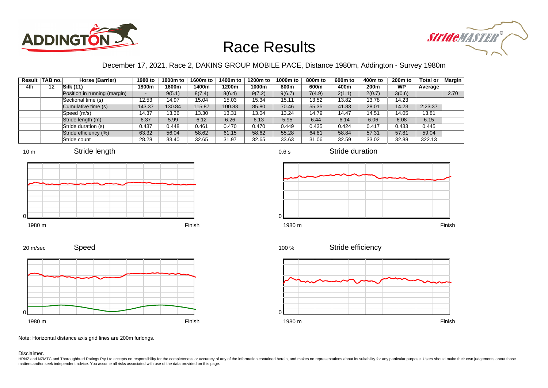



### December 17, 2021, Race 2, DAKINS GROUP MOBILE PACE, Distance 1980m, Addington - Survey 1980m

|     | Result TAB no. | Horse (Barrier)              | 1980 to | 1800m to | 1600m to | 1400m to | 1200m to | 1000m to | 800m to | 600 <sub>m</sub> to | 400m to | 200 <sub>m</sub> to | <b>Total or</b> | Margin |
|-----|----------------|------------------------------|---------|----------|----------|----------|----------|----------|---------|---------------------|---------|---------------------|-----------------|--------|
| 4th | 12             | Silk (11)                    | 1800m   | 1600m    | 1400m    | 1200m    | 1000m    | 800m     | 600m    | 400m                | 200m    | <b>WP</b>           | Average         |        |
|     |                | Position in running (margin) |         | 9(5.1)   | 8(7.4)   | 8(6.4)   | 9(7.2)   | 9(6.7)   | 7(4.9)  | 2(1.1)              | 2(0.7)  | 3(0.6)              |                 | 2.70   |
|     |                | Sectional time (s)           | 12.53   | 14.97    | 15.04    | 15.03    | 15.34    | 15.11    | 13.52   | 13.82               | 13.78   | 14.23               |                 |        |
|     |                | Cumulative time (s)          | 143.37  | 130.84   | 115.87   | 100.83   | 85.80    | 70.46    | 55.35   | 41.83               | 28.01   | 14.23               | 2:23.37         |        |
|     |                | Speed (m/s)                  | 14.37   | 13.36    | 13.30    | 13.31    | 13.04    | 13.24    | 14.79   | 14.47               | 14.51   | 14.05               | 13.81           |        |
|     |                | Stride length (m)            | 6.37    | 5.99     | 6.12     | 6.26     | 6.13     | 5.95     | 6.44    | 6.14                | 6.06    | 6.08                | 6.15            |        |
|     |                | Stride duration (s)          | 0.437   | 0.448    | 0.461    | 0.470    | 0.470    | 0.449    | 0.435   | 0.424               | 0.417   | 0.433               | 0.445           |        |
|     |                | Stride efficiency (%)        | 63.32   | 56.04    | 58.62    | 61.15    | 58.62    | 55.28    | 64.81   | 58.84               | 57.31   | 57.81               | 59.04           |        |
|     |                | Stride count                 | 28.28   | 33.40    | 32.65    | 31.97    | 32.65    | 33.63    | 31.06   | 32.59               | 33.02   | 32.88               | 322.13          |        |







Stride duration



0.6 s









Note: Horizontal distance axis grid lines are 200m furlongs.

Disclaimer.

20 m/sec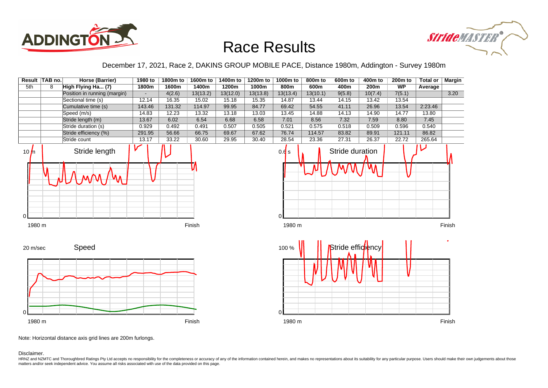



December 17, 2021, Race 2, DAKINS GROUP MOBILE PACE, Distance 1980m, Addington - Survey 1980m



Note: Horizontal distance axis grid lines are 200m furlongs.

Disclaimer.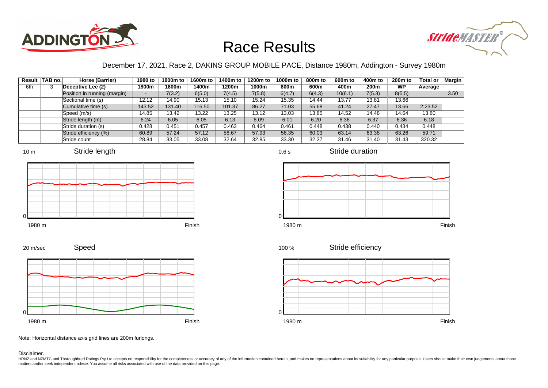



#### December 17, 2021, Race 2, DAKINS GROUP MOBILE PACE, Distance 1980m, Addington - Survey 1980m

|     | Result TAB no. | Horse (Barrier)              | 1980 to | 1800m to | 1600m to | 1400m to | 1200m to | 1000m to | 800m to | 600 <sub>m</sub> to | 400m to | 200 <sub>m</sub> to | <b>Total or</b> | <b>Margin</b> |
|-----|----------------|------------------------------|---------|----------|----------|----------|----------|----------|---------|---------------------|---------|---------------------|-----------------|---------------|
| 6th |                | Deceptive Lee (2)            | 1800m   | 1600m    | 1400m    | 1200m    | 1000m    | 800m     | 600m    | 400m                | 200m    | <b>WP</b>           | Average         |               |
|     |                | Position in running (margin) |         | 7(3.2)   | 6(5.0)   | 7(4.5)   | 7(5.8)   | 6(4.7)   | 6(4.3)  | 10(6.1)             | 7(5.3)  | 8(5.5)              |                 | 3.50          |
|     |                | Sectional time (s)           | 12.12   | 14.90    | 15.13    | 15.10    | 15.24    | 15.35    | 14.44   | 13.77               | 13.81   | 13.66               |                 |               |
|     |                | Cumulative time (s)          | 143.52  | 131.40   | 116.50   | 101.37   | 86.27    | 71.03    | 55.68   | 41.24               | 27.47   | 13.66               | 2:23.52         |               |
|     |                | Speed (m/s)                  | 14.85   | 13.42    | 13.22    | 13.25    | 13.12    | 13.03    | 13.85   | 14.52               | 14.48   | 14.64               | 13.80           |               |
|     |                | Stride length (m)            | 6.24    | 6.05     | 6.05     | 6.13     | 6.09     | 6.01     | 6.20    | 6.36                | 6.37    | 6.36                | 6.18            |               |
|     |                | Stride duration (s)          | 0.428   | 0.451    | 0.457    | 0.463    | 0.464    | 0.461    | 0.448   | 0.438               | 0.440   | 0.434               | 0.448           |               |
|     |                | Stride efficiency (%)        | 60.89   | 57.24    | 57.12    | 58.67    | 57.93    | 56.35    | 60.03   | 63.14               | 63.38   | 63.26               | 59.71           |               |
|     |                | Stride count                 | 28.84   | 33.05    | 33.08    | 32.64    | 32.85    | 33.30    | 32.27   | 31.46               | 31.40   | 31.43               | 320.32          |               |









Stride duration





Stride efficiency



Speed 20 m/sec



Note: Horizontal distance axis grid lines are 200m furlongs.

#### Disclaimer.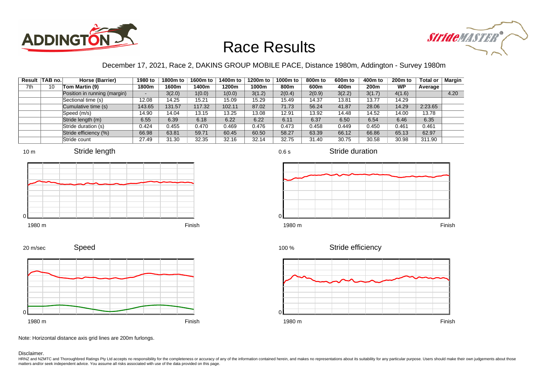



### December 17, 2021, Race 2, DAKINS GROUP MOBILE PACE, Distance 1980m, Addington - Survey 1980m

0.6 s

|     | Result TAB no. | Horse (Barrier)              | 1980 to                  | 1800m to | 1600m to | 1400m to | 1200m to | 1000m to | 800m to | 600 <sub>m</sub> to | 400m to | 200 <sub>m</sub> to | <b>Total or</b> | Margin |
|-----|----------------|------------------------------|--------------------------|----------|----------|----------|----------|----------|---------|---------------------|---------|---------------------|-----------------|--------|
| 7th | 10             | Tom Martin (9)               | 1800m                    | 1600m    | 1400m    | 1200m    | 1000m    | 800m     | 600m    | 400m                | 200m    | <b>WP</b>           | Average         |        |
|     |                | Position in running (margin) | $\overline{\phantom{0}}$ | 3(2.0)   | 1(0.0)   | 1(0.0)   | 3(1.2)   | 2(0.4)   | 2(0.9)  | 3(2.2)              | 3(1.7)  | 4(1.6)              |                 | 4.20   |
|     |                | Sectional time (s)           | 12.08                    | 14.25    | 15.21    | 15.09    | 15.29    | 15.49    | 14.37   | 13.81               | 13.77   | 14.29               |                 |        |
|     |                | Cumulative time (s)          | 143.65                   | 131.57   | 117.32   | 102.11   | 87.02    | 71.73    | 56.24   | 41.87               | 28.06   | 14.29               | 2:23.65         |        |
|     |                | Speed (m/s)                  | 14.90                    | 14.04    | 13.15    | 13.25    | 13.08    | 12.91    | 13.92   | 14.48               | 14.52   | 14.00               | 13.78           |        |
|     |                | Stride length (m)            | 6.55                     | 6.39     | 6.18     | 6.22     | 6.22     | 6.11     | 6.37    | 6.50                | 6.54    | 6.46                | 6.35            |        |
|     |                | Stride duration (s)          | 0.424                    | 0.455    | 0.470    | 0.469    | 0.476    | 0.473    | 0.458   | 0.449               | 0.450   | 0.461               | 0.461           |        |
|     |                | Stride efficiency (%)        | 66.98                    | 63.81    | 59.71    | 60.45    | 60.50    | 58.27    | 63.39   | 66.12               | 66.86   | 65.13               | 62.97           |        |
|     |                | Stride count                 | 27.49                    | 31.30    | 32.35    | 32.16    | 32.14    | 32.75    | 31.40   | 30.75               | 30.58   | 30.98               | 311.90          |        |









Stride duration





Stride efficiency



Speed 20 m/sec



Note: Horizontal distance axis grid lines are 200m furlongs.

Disclaimer.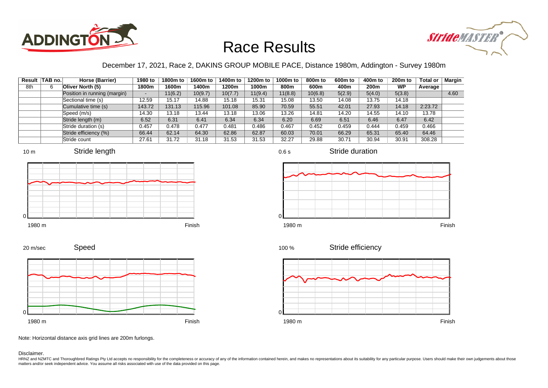



#### December 17, 2021, Race 2, DAKINS GROUP MOBILE PACE, Distance 1980m, Addington - Survey 1980m

| Result | TAB no. | Horse (Barrier)              | 1980 to | 1800m to | 1600m to | 1400m to | 1200m to | 1000m to | 800m to | 600 <sub>m</sub> to | 400m to | 200 <sub>m</sub> to | <b>Total or</b> | Margin |
|--------|---------|------------------------------|---------|----------|----------|----------|----------|----------|---------|---------------------|---------|---------------------|-----------------|--------|
| 8th    | 6       | Oliver North (5)             | 1800m   | 1600m    | 1400m    | 1200m    | 1000m    | 800m     | 600m    | 400m                | 200m    | <b>WP</b>           | Average         |        |
|        |         | Position in running (margin) |         | 1(6.2)   | 10(9.7)  | 10(7.7)  | 11(9.4)  | 11(8.8)  | 10(6.8) | 5(2.9)              | 5(4.0)  | 5(3.8)              |                 | 4.60   |
|        |         | Sectional time (s)           | 12.59   | 15.17    | 14.88    | 15.18    | 15.31    | 15.08    | 13.50   | 14.08               | 13.75   | 14.18               |                 |        |
|        |         | Cumulative time (s)          | 143.72  | 131.13   | 115.96   | 101.08   | 85.90    | 70.59    | 55.51   | 42.01               | 27.93   | 14.18               | 2:23.72         |        |
|        |         | Speed (m/s)                  | 14.30   | 13.18    | 13.44    | 13.18    | 13.06    | 13.26    | 14.81   | 14.20               | 14.55   | 14.10               | 13.78           |        |
|        |         | Stride length (m)            | 6.52    | 6.31     | 6.41     | 6.34     | 6.34     | 6.20     | 6.69    | 6.51                | 6.46    | 6.47                | 6.42            |        |
|        |         | Stride duration (s)          | 0.457   | 0.478    | 0.477    | 0.481    | 0.486    | 0.467    | 0.452   | 0.459               | 0.444   | 0.459               | 0.466           |        |
|        |         | Stride efficiency (%)        | 66.44   | 62.14    | 64.30    | 62.86    | 62.87    | 60.03    | 70.01   | 66.29               | 65.31   | 65.40               | 64.46           |        |
|        |         | Stride count                 | 27.61   | 31.72    | 31.18    | 31.53    | 31.53    | 32.27    | 29.88   | 30.71               | 30.94   | 30.91               | 308.28          |        |

















Note: Horizontal distance axis grid lines are 200m furlongs.

Disclaimer.

20 m/sec

HRNZ and NZMTC and Thoroughbred Ratings Pty Ltd accepts no responsibility for the completeness or accuracy of any of the information contained herein, and makes no representations about its suitability for any particular p matters and/or seek independent advice. You assume all risks associated with use of the data provided on this page.

0.6 s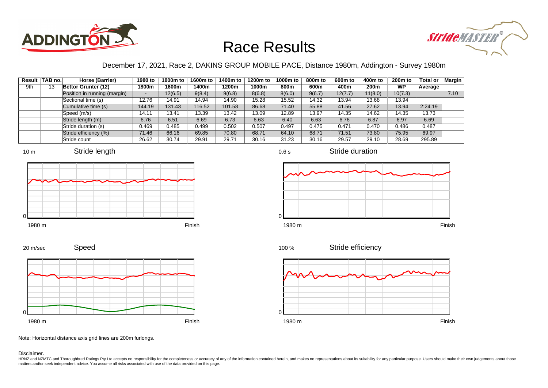



### December 17, 2021, Race 2, DAKINS GROUP MOBILE PACE, Distance 1980m, Addington - Survey 1980m

|     | Result TAB no. | Horse (Barrier)              | 1980 to                  | 1800m to | 1600m to | 1400m to | 1200m to | 1000m to | 800m to | 600 <sub>m</sub> to | 400m to | 200 <sub>m</sub> to | <b>Total or</b> | Margin |
|-----|----------------|------------------------------|--------------------------|----------|----------|----------|----------|----------|---------|---------------------|---------|---------------------|-----------------|--------|
| 9th | 13             | Bettor Grunter (12)          | 1800m                    | 1600m    | 1400m    | 1200m    | 1000m    | 800m     | 600m    | 400m                | 200m    | <b>WP</b>           | Average         |        |
|     |                | Position in running (margin) | $\overline{\phantom{0}}$ | 12(6.5)  | 9(8.4)   | 9(6.8)   | 8(6.8)   | 8(6.0)   | 9(6.7)  | 12(7.7)             | 11(8.0) | 10(7.3)             |                 | 7.10   |
|     |                | Sectional time (s)           | 12.76                    | 14.91    | 14.94    | 14.90    | 15.28    | 15.52    | 14.32   | 13.94               | 13.68   | 13.94               |                 |        |
|     |                | Cumulative time (s)          | 144.19                   | 131.43   | 116.52   | 101.58   | 86.68    | 71.40    | 55.88   | 41.56               | 27.62   | 13.94               | 2:24.19         |        |
|     |                | Speed (m/s)                  | 14.11                    | 13.41    | 13.39    | 13.42    | 13.09    | 12.89    | 13.97   | 14.35               | 14.62   | 14.35               | 13.73           |        |
|     |                | Stride length (m)            | 6.76                     | 6.51     | 6.69     | 6.73     | 6.63     | 6.40     | 6.63    | 6.76                | 6.87    | 6.97                | 6.69            |        |
|     |                | Stride duration (s)          | 0.469                    | 0.485    | 0.499    | 0.502    | 0.507    | 0.497    | 0.475   | 0.471               | 0.470   | 0.486               | 0.487           |        |
|     |                | Stride efficiency (%)        | 71.46                    | 66.16    | 69.85    | 70.80    | 68.71    | 64.10    | 68.71   | 71.51               | 73.80   | 75.95               | 69.97           |        |
|     |                | Stride count                 | 26.62                    | 30.74    | 29.91    | 29.71    | 30.16    | 31.23    | 30.16   | 29.57               | 29.10   | 28.69               | 295.89          |        |













Stride duration



Note: Horizontal distance axis grid lines are 200m furlongs.

#### Disclaimer.

20 m/sec

HRNZ and NZMTC and Thoroughbred Ratings Pty Ltd accepts no responsibility for the completeness or accuracy of any of the information contained herein, and makes no representations about its suitability for any particular p matters and/or seek independent advice. You assume all risks associated with use of the data provided on this page.

0.6 s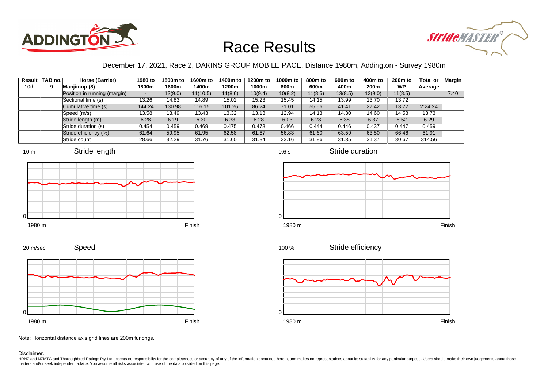



### December 17, 2021, Race 2, DAKINS GROUP MOBILE PACE, Distance 1980m, Addington - Survey 1980m

|      | Result TAB no. | Horse (Barrier)              | 1980 to | 1800m to | 1600m to | 1400m to | 1200m to | 1000m to | 800 <sub>m</sub> to | 600m to | 400m to | 200 <sub>m</sub> to | <b>Total or</b> | Margin |
|------|----------------|------------------------------|---------|----------|----------|----------|----------|----------|---------------------|---------|---------|---------------------|-----------------|--------|
| 10th |                | Manjimup (8)                 | 1800m   | 1600m    | 1400m    | 1200m    | 1000m    | 800m     | 600m                | 400m    | 200m    | <b>WP</b>           | Average         |        |
|      |                | Position in running (margin) | -       | 13(9.0)  | 11(10.5) | 11(8.6)  | 10(9.4)  | 10(8.2)  | 11(8.5)             | 13(8.5) | 13(9.0) | 11(8.5)             |                 | 7.40   |
|      |                | Sectional time (s)           | 13.26   | 14.83    | 14.89    | 15.02    | 15.23    | 15.45    | 14.15               | 13.99   | 13.70   | 13.72               |                 |        |
|      |                | Cumulative time (s)          | 144.24  | 130.98   | 116.15   | 101.26   | 86.24    | 71.01    | 55.56               | 41.41   | 27.42   | 13.72               | 2:24.24         |        |
|      |                | Speed (m/s)                  | 13.58   | 13.49    | 13.43    | 13.32    | 13.13    | 12.94    | 14.13               | 14.30   | 14.60   | 14.58               | 13.73           |        |
|      |                | Stride length (m)            | 6.28    | 6.19     | 6.30     | 6.33     | 6.28     | 6.03     | 6.28                | 6.38    | 6.37    | 6.52                | 6.29            |        |
|      |                | Stride duration (s)          | 0.454   | 0.459    | 0.469    | 0.475    | 0.478    | 0.466    | 0.444               | 0.446   | 0.437   | 0.447               | 0.459           |        |
|      |                | Stride efficiency (%)        | 61.64   | 59.95    | 61.95    | 62.58    | 61.67    | 56.83    | 61.60               | 63.59   | 63.50   | 66.46               | 61.91           |        |
|      |                | Stride count                 | 28.66   | 32.29    | 31.76    | 31.60    | 31.84    | 33.16    | 31.86               | 31.35   | 31.37   | 30.67               | 314.56          |        |















Speed 20 m/sec



Note: Horizontal distance axis grid lines are 200m furlongs.

#### Disclaimer.

HRNZ and NZMTC and Thoroughbred Ratings Pty Ltd accepts no responsibility for the completeness or accuracy of any of the information contained herein, and makes no representations about its suitability for any particular p matters and/or seek independent advice. You assume all risks associated with use of the data provided on this page.

0.6 s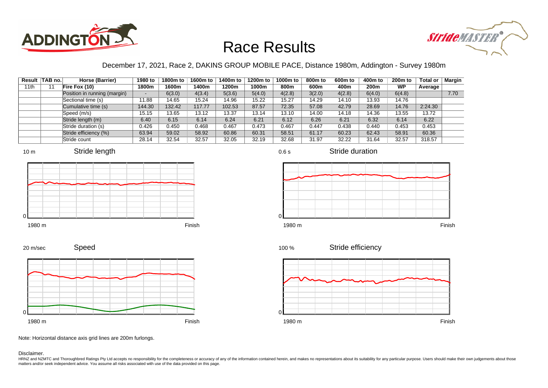



### December 17, 2021, Race 2, DAKINS GROUP MOBILE PACE, Distance 1980m, Addington - Survey 1980m

| Result | TAB no. | Horse (Barrier)              | 1980 to                  | 1800m to | 1600m to | 1400m to | 1200m to | 1000m to | 800 <sub>m</sub> to | 600 <sub>m</sub> to | 400m to | 200 <sub>m</sub> to | <b>Total or</b> | Margin |
|--------|---------|------------------------------|--------------------------|----------|----------|----------|----------|----------|---------------------|---------------------|---------|---------------------|-----------------|--------|
| 11th   |         | Fire Fox (10)                | 1800m                    | 1600m    | 1400m    | 1200m    | 1000m    | 800m     | 600m                | 400m                | 200m    | <b>WP</b>           | Average         |        |
|        |         | Position in running (margin) | $\overline{\phantom{a}}$ | 6(3.0)   | 4(3.4)   | 5(3.6)   | 5(4.0)   | 4(2.8)   | 3(2.0)              | 4(2.8)              | 6(4.0)  | 6(4.8)              |                 | 7.70   |
|        |         | Sectional time (s)           | 11.88                    | 14.65    | 15.24    | 14.96    | 15.22    | 15.27    | 14.29               | 14.10               | 13.93   | 14.76               |                 |        |
|        |         | Cumulative time (s)          | 144.30                   | 132.42   | 117.77   | 102.53   | 87.57    | 72.35    | 57.08               | 42.79               | 28.69   | 14.76               | 2:24.30         |        |
|        |         | Speed (m/s)                  | 15.15                    | 13.65    | 13.12    | 13.37    | 13.14    | 13.10    | 14.00               | 14.18               | 14.36   | 13.55               | 13.72           |        |
|        |         | Stride length (m)            | 6.40                     | 6.15     | 6.14     | 6.24     | 6.21     | 6.12     | 6.26                | 6.21                | 6.32    | 6.14                | 6.22            |        |
|        |         | Stride duration (s)          | 0.426                    | 0.450    | 0.468    | 0.467    | 0.473    | 0.467    | 0.447               | 0.438               | 0.440   | 0.453               | 0.453           |        |
|        |         | Stride efficiency (%)        | 63.94                    | 59.02    | 58.92    | 60.86    | 60.31    | 58.51    | 61.17               | 60.23               | 62.43   | 58.91               | 60.36           |        |
|        |         | Stride count                 | 28.14                    | 32.54    | 32.57    | 32.05    | 32.19    | 32.68    | 31.97               | 32.22               | 31.64   | 32.57               | 318.57          |        |







0.6 s

1980 m Finish  $\Omega$ 

Stride duration





1980 m Finish

Stride efficiency 100 %



Note: Horizontal distance axis grid lines are 200m furlongs.

Disclaimer.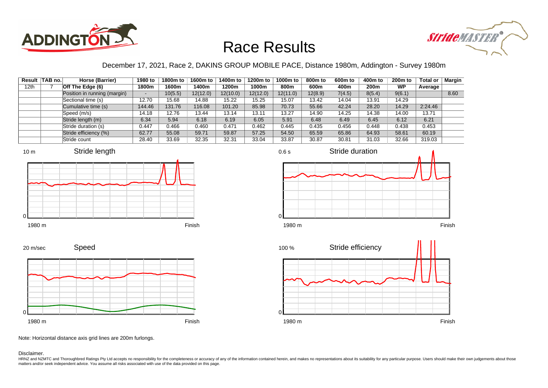



#### December 17, 2021, Race 2, DAKINS GROUP MOBILE PACE, Distance 1980m, Addington - Survey 1980m

|                  | Result TAB no. | Horse (Barrier)              | 1980 to | 1800m to | 1600m to | 1400m to | 1200m to | 1000m to | 800m to | 600m to | 400m to          | 200 <sub>m</sub> to | <b>Total or</b> | <b>Margin</b> |
|------------------|----------------|------------------------------|---------|----------|----------|----------|----------|----------|---------|---------|------------------|---------------------|-----------------|---------------|
| 12 <sub>th</sub> |                | Off The Edge (6)             | 1800m   | 1600m    | 1400m    | 1200m    | 1000m    | 800m     | 600m    | 400m    | 200 <sub>m</sub> | <b>WP</b>           | Average         |               |
|                  |                | Position in running (margin) | -       | 10(5.5)  | 12(12.0) | 12(10.0) | 12(12.0) | 12(11.0) | 12(8.9) | 7(4.5)  | 8(5.4)           | 9(6.1)              |                 | 8.60          |
|                  |                | Sectional time (s)           | 12.70   | 15.68    | 14.88    | 15.22    | 15.25    | 15.07    | 13.42   | 14.04   | 13.91            | 14.29               |                 |               |
|                  |                | Cumulative time (s)          | 144.46  | 131.76   | 116.08   | 101.20   | 85.98    | 70.73    | 55.66   | 42.24   | 28.20            | 14.29               | 2:24.46         |               |
|                  |                | Speed (m/s)                  | 14.18   | 12.76    | 13.44    | 13.14    | 13.11    | 13.27    | 14.90   | 14.25   | 14.38            | 14.00               | 13.71           |               |
|                  |                | Stride length (m)            | 6.34    | 5.94     | 6.18     | 6.19     | 6.05     | 5.91     | 6.48    | 6.49    | 6.45             | 6.12                | 6.21            |               |
|                  |                | Stride duration (s)          | 0.447   | 0.466    | 0.460    | 0.471    | 0.462    | 0.445    | 0.435   | 0.456   | 0.448            | 0.438               | 0.453           |               |
|                  |                | Stride efficiency (%)        | 62.77   | 55.08    | 59.71    | 59.87    | 57.25    | 54.50    | 65.59   | 65.86   | 64.93            | 58.61               | 60.19           |               |
|                  |                | Stride count                 | 28.40   | 33.69    | 32.35    | 32.31    | 33.04    | 33.87    | 30.87   | 30.81   | 31.03            | 32.66               | 319.03          |               |







Speed 20 m/sec



Note: Horizontal distance axis grid lines are 200m furlongs.

Disclaimer.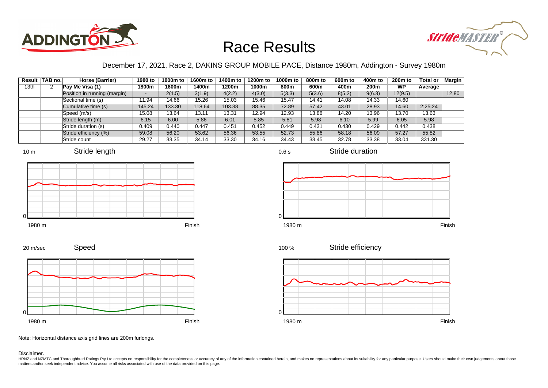



### December 17, 2021, Race 2, DAKINS GROUP MOBILE PACE, Distance 1980m, Addington - Survey 1980m

|      | Result TAB no. | Horse (Barrier)              | 1980 to                  | 1800m to | 1600m to | 1400m to | 1200m to | 1000m to | 800m to | 600 <sub>m</sub> to | 400m to | 200 <sub>m</sub> to | <b>Total or</b> | Margin |
|------|----------------|------------------------------|--------------------------|----------|----------|----------|----------|----------|---------|---------------------|---------|---------------------|-----------------|--------|
| 13th |                | Pay Me Visa (1)              | 1800m                    | 1600m    | 1400m    | 1200m    | 1000m    | 800m     | 600m    | 400m                | 200m    | <b>WP</b>           | Average         |        |
|      |                | Position in running (margin) | $\overline{\phantom{0}}$ | 2(1.5)   | 3(1.9)   | 4(2.2)   | 4(3.0)   | 5(3.3)   | 5(3.6)  | 8(5.2)              | 9(6.3)  | 12(9.5)             |                 | 12.80  |
|      |                | Sectional time (s)           | 11.94                    | 14.66    | 15.26    | 15.03    | 15.46    | 15.47    | 14.41   | 14.08               | 14.33   | 14.60               |                 |        |
|      |                | Cumulative time (s)          | 145.24                   | 133.30   | 118.64   | 103.38   | 88.35    | 72.89    | 57.42   | 43.01               | 28.93   | 14.60               | 2:25.24         |        |
|      |                | Speed (m/s)                  | 15.08                    | 13.64    | 13.11    | 13.31    | 12.94    | 12.93    | 13.88   | 14.20               | 13.96   | 13.70               | 13.63           |        |
|      |                | Stride length (m)            | 6.15                     | 6.00     | 5.86     | 6.01     | 5.85     | 5.81     | 5.98    | 6.10                | 5.99    | 6.05                | 5.98            |        |
|      |                | Stride duration (s)          | 0.409                    | 0.440    | 0.447    | 0.451    | 0.452    | 0.449    | 0.431   | 0.430               | 0.429   | 0.442               | 0.438           |        |
|      |                | Stride efficiency (%)        | 59.08                    | 56.20    | 53.62    | 56.36    | 53.55    | 52.73    | 55.86   | 58.18               | 56.09   | 57.27               | 55.82           |        |
|      |                | Stride count                 | 29.27                    | 33.35    | 34.14    | 33.30    | 34.16    | 34.43    | 33.45   | 32.78               | 33.38   | 33.04               | 331.30          |        |









Stride duration



Stride efficiency



Speed 20 m/sec



Note: Horizontal distance axis grid lines are 200m furlongs.

Disclaimer.